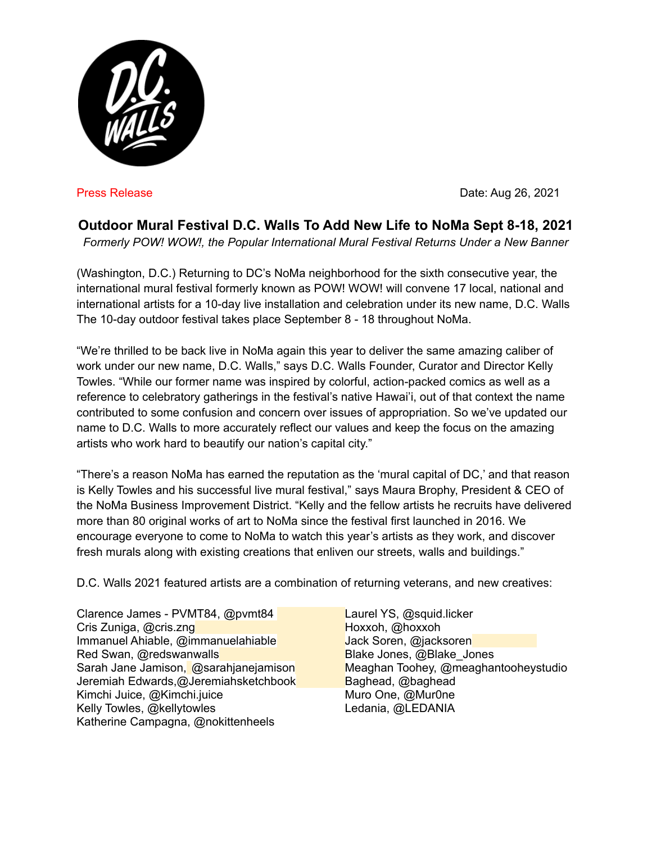

Press Release **Date:** Aug 26, 2021

## **Outdoor Mural Festival D.C. Walls To Add New Life to NoMa Sept 8-18, 2021**

*Formerly POW! WOW!, the Popular International Mural Festival Returns Under a New Banner*

(Washington, D.C.) Returning to DC's NoMa neighborhood for the sixth consecutive year, the international mural festival formerly known as POW! WOW! will convene 17 local, national and international artists for a 10-day live installation and celebration under its new name, D.C. Walls The 10-day outdoor festival takes place September 8 - 18 throughout NoMa.

"We're thrilled to be back live in NoMa again this year to deliver the same amazing caliber of work under our new name, D.C. Walls," says D.C. Walls Founder, Curator and Director Kelly Towles. "While our former name was inspired by colorful, action-packed comics as well as a reference to celebratory gatherings in the festival's native Hawai'i, out of that context the name contributed to some confusion and concern over issues of appropriation. So we've updated our name to D.C. Walls to more accurately reflect our values and keep the focus on the amazing artists who work hard to beautify our nation's capital city."

"There's a reason NoMa has earned the reputation as the 'mural capital of DC,' and that reason is Kelly Towles and his successful live mural festival," says Maura Brophy, President & CEO of the NoMa Business Improvement District. "Kelly and the fellow artists he recruits have delivered more than 80 original works of art to NoMa since the festival first launched in 2016. We encourage everyone to come to NoMa to watch this year's artists as they work, and discover fresh murals along with existing creations that enliven our streets, walls and buildings."

D.C. Walls 2021 featured artists are a combination of returning veterans, and new creatives:

Clarence James - PVMT84, @pvmt84 Laurel YS, @squid.licker Cris Zuniga, @cris.zng Hoxxoh, @hoxxoh, @hoxxoh, @hoxxoh, @hoxxoh, @hoxxoh, @hoxxoh, @hoxxoh, @hoxxoh, @hoxxoh Immanuel Ahiable, @immanuelahiable Jack Soren, @jacksoren Red Swan, @redswanwalls Blake Jones, @Blake\_Jones Jeremiah Edwards,@Jeremiahsketchbook Baghead, @baghead Kimchi Juice, @Kimchi.juice Muro One, @Mur0ne Kelly Towles, @kellytowles Ledania, @LEDANIA Katherine Campagna, @nokittenheels

Sarah Jane Jamison, @sarahjanejamison Meaghan Toohey, @meaghantooheystudio